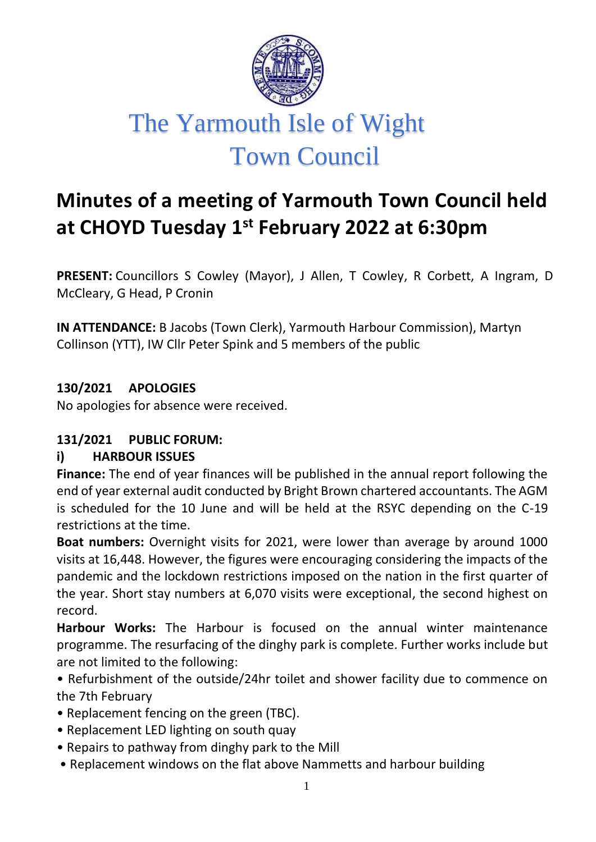

# **Minutes of a meeting of Yarmouth Town Council held at CHOYD Tuesday 1st February 2022 at 6:30pm**

**PRESENT:** Councillors S Cowley (Mayor), J Allen, T Cowley, R Corbett, A Ingram, D McCleary, G Head, P Cronin

**IN ATTENDANCE:** B Jacobs (Town Clerk), Yarmouth Harbour Commission), Martyn Collinson (YTT), IW Cllr Peter Spink and 5 members of the public

**130/2021 APOLOGIES**

No apologies for absence were received.

### **131/2021 PUBLIC FORUM:**

#### **i) HARBOUR ISSUES**

**Finance:** The end of year finances will be published in the annual report following the end of year external audit conducted by Bright Brown chartered accountants. The AGM is scheduled for the 10 June and will be held at the RSYC depending on the C-19 restrictions at the time.

**Boat numbers:** Overnight visits for 2021, were lower than average by around 1000 visits at 16,448. However, the figures were encouraging considering the impacts of the pandemic and the lockdown restrictions imposed on the nation in the first quarter of the year. Short stay numbers at 6,070 visits were exceptional, the second highest on record.

**Harbour Works:** The Harbour is focused on the annual winter maintenance programme. The resurfacing of the dinghy park is complete. Further works include but are not limited to the following:

- Refurbishment of the outside/24hr toilet and shower facility due to commence on the 7th February
- Replacement fencing on the green (TBC).
- Replacement LED lighting on south quay
- Repairs to pathway from dinghy park to the Mill
- Replacement windows on the flat above Nammetts and harbour building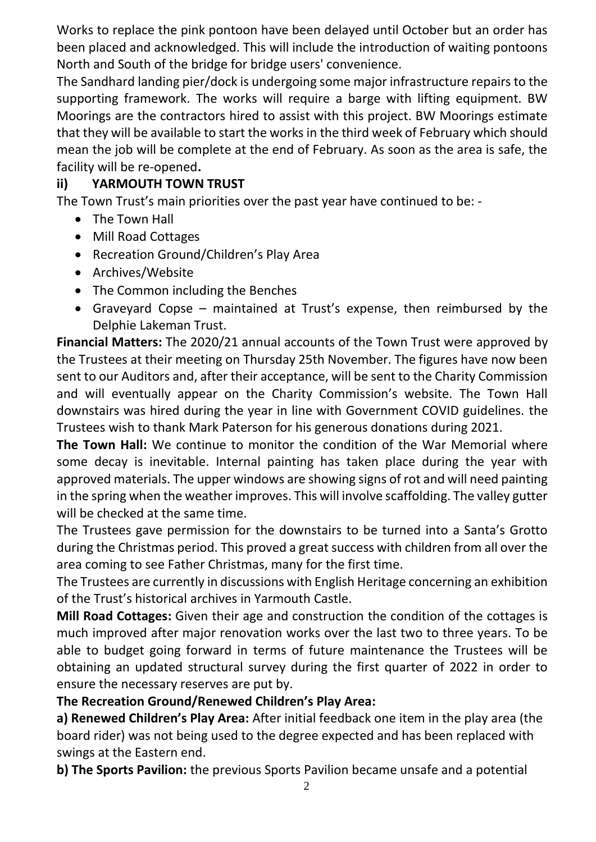Works to replace the pink pontoon have been delayed until October but an order has been placed and acknowledged. This will include the introduction of waiting pontoons North and South of the bridge for bridge users' convenience.

The Sandhard landing pier/dock is undergoing some major infrastructure repairs to the supporting framework. The works will require a barge with lifting equipment. BW Moorings are the contractors hired to assist with this project. BW Moorings estimate that they will be available to start the works in the third week of February which should mean the job will be complete at the end of February. As soon as the area is safe, the facility will be re-opened**.** 

# **ii) YARMOUTH TOWN TRUST**

The Town Trust's main priorities over the past year have continued to be: -

- The Town Hall
- Mill Road Cottages
- Recreation Ground/Children's Play Area
- Archives/Website
- The Common including the Benches
- Graveyard Copse maintained at Trust's expense, then reimbursed by the Delphie Lakeman Trust.

**Financial Matters:** The 2020/21 annual accounts of the Town Trust were approved by the Trustees at their meeting on Thursday 25th November. The figures have now been sent to our Auditors and, after their acceptance, will be sent to the Charity Commission and will eventually appear on the Charity Commission's website. The Town Hall downstairs was hired during the year in line with Government COVID guidelines. the Trustees wish to thank Mark Paterson for his generous donations during 2021.

**The Town Hall:** We continue to monitor the condition of the War Memorial where some decay is inevitable. Internal painting has taken place during the year with approved materials. The upper windows are showing signs of rot and will need painting in the spring when the weather improves. This will involve scaffolding. The valley gutter will be checked at the same time.

The Trustees gave permission for the downstairs to be turned into a Santa's Grotto during the Christmas period. This proved a great success with children from all over the area coming to see Father Christmas, many for the first time.

The Trustees are currently in discussions with English Heritage concerning an exhibition of the Trust's historical archives in Yarmouth Castle.

**Mill Road Cottages:** Given their age and construction the condition of the cottages is much improved after major renovation works over the last two to three years. To be able to budget going forward in terms of future maintenance the Trustees will be obtaining an updated structural survey during the first quarter of 2022 in order to ensure the necessary reserves are put by.

# **The Recreation Ground/Renewed Children's Play Area:**

**a) Renewed Children's Play Area:** After initial feedback one item in the play area (the board rider) was not being used to the degree expected and has been replaced with swings at the Eastern end.

**b) The Sports Pavilion:** the previous Sports Pavilion became unsafe and a potential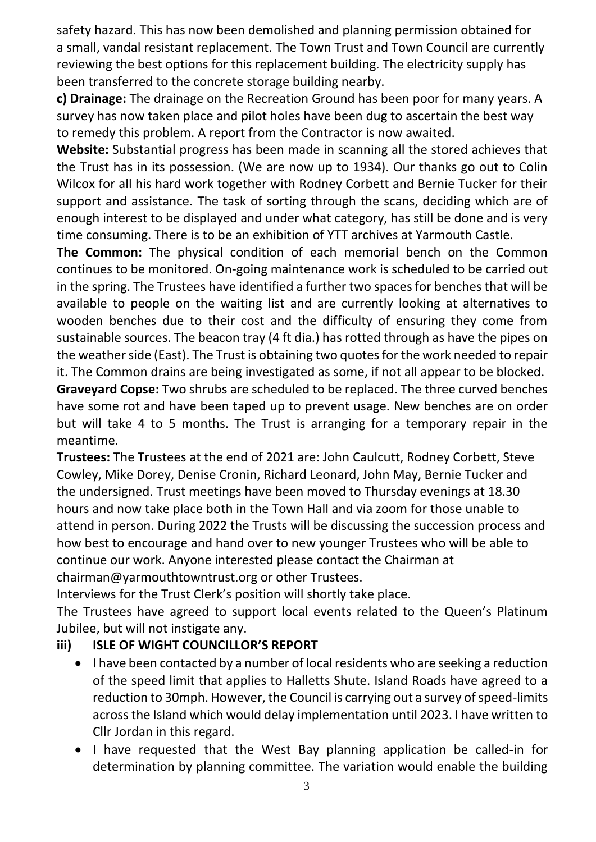safety hazard. This has now been demolished and planning permission obtained for a small, vandal resistant replacement. The Town Trust and Town Council are currently reviewing the best options for this replacement building. The electricity supply has been transferred to the concrete storage building nearby.

**c) Drainage:** The drainage on the Recreation Ground has been poor for many years. A survey has now taken place and pilot holes have been dug to ascertain the best way to remedy this problem. A report from the Contractor is now awaited.

**Website:** Substantial progress has been made in scanning all the stored achieves that the Trust has in its possession. (We are now up to 1934). Our thanks go out to Colin Wilcox for all his hard work together with Rodney Corbett and Bernie Tucker for their support and assistance. The task of sorting through the scans, deciding which are of enough interest to be displayed and under what category, has still be done and is very time consuming. There is to be an exhibition of YTT archives at Yarmouth Castle.

**The Common:** The physical condition of each memorial bench on the Common continues to be monitored. On-going maintenance work is scheduled to be carried out in the spring. The Trustees have identified a further two spaces for benches that will be available to people on the waiting list and are currently looking at alternatives to wooden benches due to their cost and the difficulty of ensuring they come from sustainable sources. The beacon tray (4 ft dia.) has rotted through as have the pipes on the weather side (East). The Trust is obtaining two quotes for the work needed to repair it. The Common drains are being investigated as some, if not all appear to be blocked.

**Graveyard Copse:** Two shrubs are scheduled to be replaced. The three curved benches have some rot and have been taped up to prevent usage. New benches are on order but will take 4 to 5 months. The Trust is arranging for a temporary repair in the meantime.

**Trustees:** The Trustees at the end of 2021 are: John Caulcutt, Rodney Corbett, Steve Cowley, Mike Dorey, Denise Cronin, Richard Leonard, John May, Bernie Tucker and the undersigned. Trust meetings have been moved to Thursday evenings at 18.30 hours and now take place both in the Town Hall and via zoom for those unable to attend in person. During 2022 the Trusts will be discussing the succession process and how best to encourage and hand over to new younger Trustees who will be able to continue our work. Anyone interested please contact the Chairman at chairman@yarmouthtowntrust.org or other Trustees.

Interviews for the Trust Clerk's position will shortly take place.

The Trustees have agreed to support local events related to the Queen's Platinum Jubilee, but will not instigate any.

# **iii) ISLE OF WIGHT COUNCILLOR'S REPORT**

- I have been contacted by a number of local residents who are seeking a reduction of the speed limit that applies to Halletts Shute. Island Roads have agreed to a reduction to 30mph. However, the Council is carrying out a survey of speed-limits across the Island which would delay implementation until 2023. I have written to Cllr Jordan in this regard.
- I have requested that the West Bay planning application be called-in for determination by planning committee. The variation would enable the building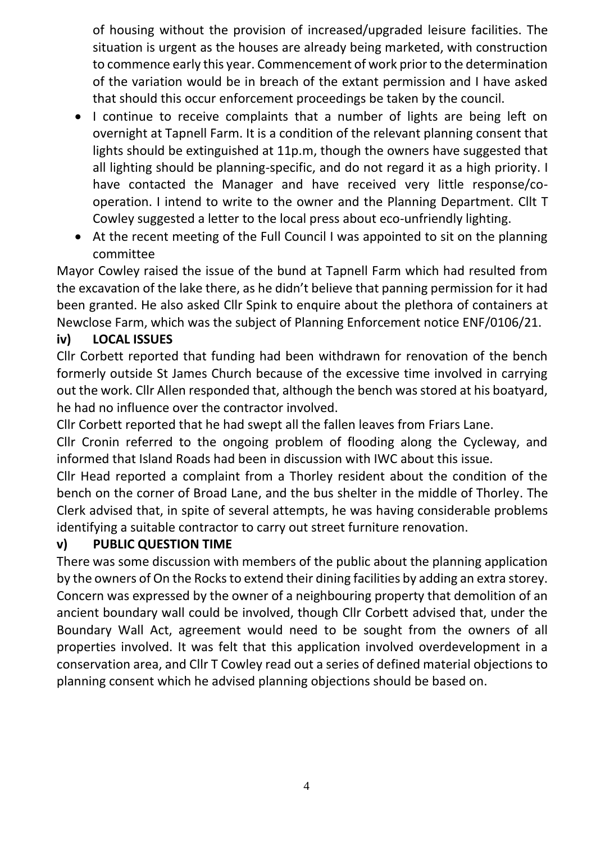of housing without the provision of increased/upgraded leisure facilities. The situation is urgent as the houses are already being marketed, with construction to commence early this year. Commencement of work prior to the determination of the variation would be in breach of the extant permission and I have asked that should this occur enforcement proceedings be taken by the council.

- I continue to receive complaints that a number of lights are being left on overnight at Tapnell Farm. It is a condition of the relevant planning consent that lights should be extinguished at 11p.m, though the owners have suggested that all lighting should be planning-specific, and do not regard it as a high priority. I have contacted the Manager and have received very little response/cooperation. I intend to write to the owner and the Planning Department. Cllt T Cowley suggested a letter to the local press about eco-unfriendly lighting.
- At the recent meeting of the Full Council I was appointed to sit on the planning committee

Mayor Cowley raised the issue of the bund at Tapnell Farm which had resulted from the excavation of the lake there, as he didn't believe that panning permission for it had been granted. He also asked Cllr Spink to enquire about the plethora of containers at Newclose Farm, which was the subject of Planning Enforcement notice ENF/0106/21.

## **iv) LOCAL ISSUES**

Cllr Corbett reported that funding had been withdrawn for renovation of the bench formerly outside St James Church because of the excessive time involved in carrying out the work. Cllr Allen responded that, although the bench was stored at his boatyard, he had no influence over the contractor involved.

Cllr Corbett reported that he had swept all the fallen leaves from Friars Lane.

Cllr Cronin referred to the ongoing problem of flooding along the Cycleway, and informed that Island Roads had been in discussion with IWC about this issue.

Cllr Head reported a complaint from a Thorley resident about the condition of the bench on the corner of Broad Lane, and the bus shelter in the middle of Thorley. The Clerk advised that, in spite of several attempts, he was having considerable problems identifying a suitable contractor to carry out street furniture renovation.

### **v) PUBLIC QUESTION TIME**

There was some discussion with members of the public about the planning application by the owners of On the Rocks to extend their dining facilities by adding an extra storey. Concern was expressed by the owner of a neighbouring property that demolition of an ancient boundary wall could be involved, though Cllr Corbett advised that, under the Boundary Wall Act, agreement would need to be sought from the owners of all properties involved. It was felt that this application involved overdevelopment in a conservation area, and Cllr T Cowley read out a series of defined material objections to planning consent which he advised planning objections should be based on.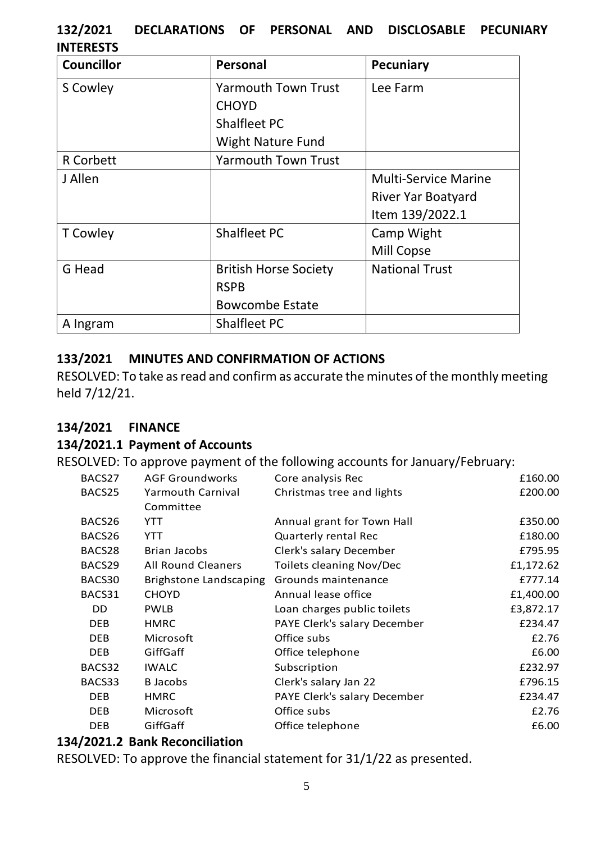## **132/2021 DECLARATIONS OF PERSONAL AND DISCLOSABLE PECUNIARY INTERESTS**

| <b>Councillor</b> | Personal                     | <b>Pecuniary</b>            |
|-------------------|------------------------------|-----------------------------|
| S Cowley          | <b>Yarmouth Town Trust</b>   | Lee Farm                    |
|                   | <b>CHOYD</b>                 |                             |
|                   | Shalfleet PC                 |                             |
|                   | <b>Wight Nature Fund</b>     |                             |
| <b>R</b> Corbett  | <b>Yarmouth Town Trust</b>   |                             |
| J Allen           |                              | <b>Multi-Service Marine</b> |
|                   |                              | River Yar Boatyard          |
|                   |                              | Item 139/2022.1             |
| <b>T</b> Cowley   | <b>Shalfleet PC</b>          | Camp Wight                  |
|                   |                              | <b>Mill Copse</b>           |
| G Head            | <b>British Horse Society</b> | <b>National Trust</b>       |
|                   | <b>RSPB</b>                  |                             |
|                   | <b>Bowcombe Estate</b>       |                             |
| A Ingram          | Shalfleet PC                 |                             |

### **133/2021 MINUTES AND CONFIRMATION OF ACTIONS**

RESOLVED: To take as read and confirm as accurate the minutes of the monthly meeting held 7/12/21.

#### **134/2021 FINANCE**

#### **134/2021.1 Payment of Accounts**

RESOLVED: To approve payment of the following accounts for January/February:

| BACS27     | <b>AGF Groundworks</b>    | Core analysis Rec               | £160.00   |
|------------|---------------------------|---------------------------------|-----------|
| BACS25     | <b>Yarmouth Carnival</b>  | Christmas tree and lights       | £200.00   |
|            | Committee                 |                                 |           |
| BACS26     | YTT                       | Annual grant for Town Hall      | £350.00   |
| BACS26     | YTT                       | <b>Quarterly rental Rec</b>     | £180.00   |
| BACS28     | Brian Jacobs              | Clerk's salary December         | £795.95   |
| BACS29     | <b>All Round Cleaners</b> | <b>Toilets cleaning Nov/Dec</b> | £1,172.62 |
| BACS30     | Brighstone Landscaping    | Grounds maintenance             | £777.14   |
| BACS31     | <b>CHOYD</b>              | Annual lease office             | £1,400.00 |
| DD.        | <b>PWLB</b>               | Loan charges public toilets     | £3,872.17 |
| DEB        | <b>HMRC</b>               | PAYE Clerk's salary December    | £234.47   |
| DEB.       | Microsoft                 | Office subs                     | £2.76     |
| DEB.       | GiffGaff                  | Office telephone                | £6.00     |
| BACS32     | <b>IWALC</b>              | Subscription                    | £232.97   |
| BACS33     | <b>B</b> Jacobs           | Clerk's salary Jan 22           | £796.15   |
| DEB.       | <b>HMRC</b>               | PAYE Clerk's salary December    | £234.47   |
| <b>DEB</b> | Microsoft                 | Office subs                     | £2.76     |
| <b>DEB</b> | GiffGaff                  | Office telephone                | £6.00     |
|            |                           |                                 |           |

## **134/2021.2 Bank Reconciliation**

RESOLVED: To approve the financial statement for 31/1/22 as presented.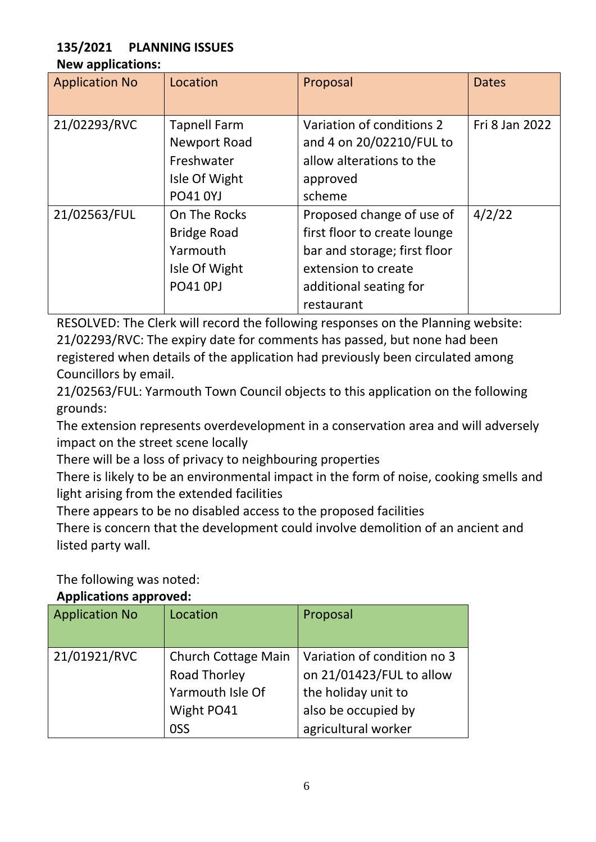## **135/2021 PLANNING ISSUES**

#### **New applications:**

| <b>Application No</b> | Location                                                                              | Proposal                                                                                                                                                 | <b>Dates</b>   |
|-----------------------|---------------------------------------------------------------------------------------|----------------------------------------------------------------------------------------------------------------------------------------------------------|----------------|
| 21/02293/RVC          | <b>Tapnell Farm</b><br>Newport Road<br>Freshwater<br>Isle Of Wight<br><b>PO41 0YJ</b> | Variation of conditions 2<br>and 4 on 20/02210/FUL to<br>allow alterations to the<br>approved<br>scheme                                                  | Fri 8 Jan 2022 |
| 21/02563/FUL          | On The Rocks<br><b>Bridge Road</b><br>Yarmouth<br>Isle Of Wight<br><b>PO41 OPJ</b>    | Proposed change of use of<br>first floor to create lounge<br>bar and storage; first floor<br>extension to create<br>additional seating for<br>restaurant | 4/2/22         |

RESOLVED: The Clerk will record the following responses on the Planning website: 21/02293/RVC: The expiry date for comments has passed, but none had been registered when details of the application had previously been circulated among Councillors by email.

21/02563/FUL: Yarmouth Town Council objects to this application on the following grounds:

The extension represents overdevelopment in a conservation area and will adversely impact on the street scene locally

There will be a loss of privacy to neighbouring properties

There is likely to be an environmental impact in the form of noise, cooking smells and light arising from the extended facilities

There appears to be no disabled access to the proposed facilities

There is concern that the development could involve demolition of an ancient and listed party wall.

The following was noted:

#### **Applications approved:**

| <b>Application No</b> | Location                                                                                   | Proposal                                                                                                                     |  |  |
|-----------------------|--------------------------------------------------------------------------------------------|------------------------------------------------------------------------------------------------------------------------------|--|--|
| 21/01921/RVC          | <b>Church Cottage Main</b><br><b>Road Thorley</b><br>Yarmouth Isle Of<br>Wight PO41<br>OSS | Variation of condition no 3<br>on 21/01423/FUL to allow<br>the holiday unit to<br>also be occupied by<br>agricultural worker |  |  |